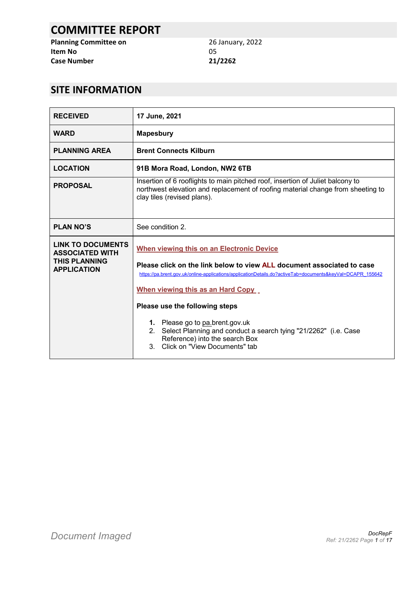# **COMMITTEE REPORT**

**Planning Committee on** 26 January, 2022 **Item No** 05 **Case Number 21/2262**

# **SITE INFORMATION**

| <b>RECEIVED</b>                                                                                  | 17 June, 2021                                                                                                                                                                                                                                                                                                                                                                                                                                                                                                      |  |
|--------------------------------------------------------------------------------------------------|--------------------------------------------------------------------------------------------------------------------------------------------------------------------------------------------------------------------------------------------------------------------------------------------------------------------------------------------------------------------------------------------------------------------------------------------------------------------------------------------------------------------|--|
| <b>WARD</b>                                                                                      | <b>Mapesbury</b>                                                                                                                                                                                                                                                                                                                                                                                                                                                                                                   |  |
| <b>PLANNING AREA</b>                                                                             | <b>Brent Connects Kilburn</b>                                                                                                                                                                                                                                                                                                                                                                                                                                                                                      |  |
| <b>LOCATION</b>                                                                                  | 91B Mora Road, London, NW2 6TB                                                                                                                                                                                                                                                                                                                                                                                                                                                                                     |  |
| <b>PROPOSAL</b>                                                                                  | Insertion of 6 rooflights to main pitched roof, insertion of Juliet balcony to<br>northwest elevation and replacement of roofing material change from sheeting to<br>clay tiles (revised plans).                                                                                                                                                                                                                                                                                                                   |  |
| <b>PLAN NO'S</b>                                                                                 | See condition 2.                                                                                                                                                                                                                                                                                                                                                                                                                                                                                                   |  |
| <b>LINK TO DOCUMENTS</b><br><b>ASSOCIATED WITH</b><br><b>THIS PLANNING</b><br><b>APPLICATION</b> | <b>When viewing this on an Electronic Device</b><br>Please click on the link below to view ALL document associated to case<br>https://pa.brent.gov.uk/online-applications/applicationDetails.do?activeTab=documents&keyVal=DCAPR 155642<br>When viewing this as an Hard Copy<br>Please use the following steps<br>1. Please go to pa.brent.gov.uk<br>Select Planning and conduct a search tying "21/2262" (i.e. Case<br>2 <sub>1</sub><br>Reference) into the search Box<br>Click on "View Documents" tab<br>$3 -$ |  |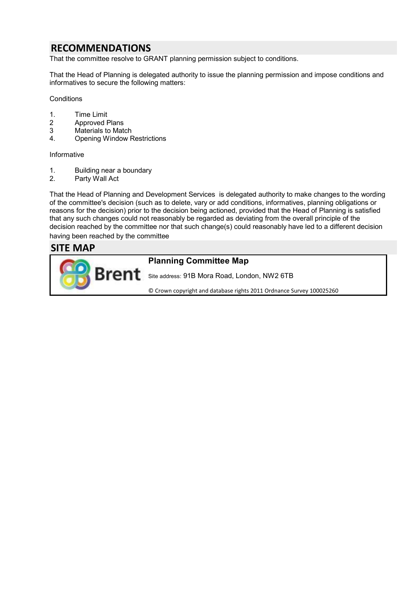## **RECOMMENDATIONS**

That the committee resolve to GRANT planning permission subject to conditions.

That the Head of Planning is delegated authority to issue the planning permission and impose conditions and informatives to secure the following matters:

**Conditions** 

- 1. Time Limit
- 2 Approved Plans<br>3 Materials to Materials
- Materials to Match
- 4. Opening Window Restrictions

Informative

- 1. Building near a boundary
- 2. Party Wall Act

That the Head of Planning and Development Services is delegated authority to make changes to the wording of the committee's decision (such as to delete, vary or add conditions, informatives, planning obligations or reasons for the decision) prior to the decision being actioned, provided that the Head of Planning is satisfied that any such changes could not reasonably be regarded as deviating from the overall principle of the decision reached by the committee nor that such change(s) could reasonably have led to a different decision having been reached by the committee

### **SITE MAP**

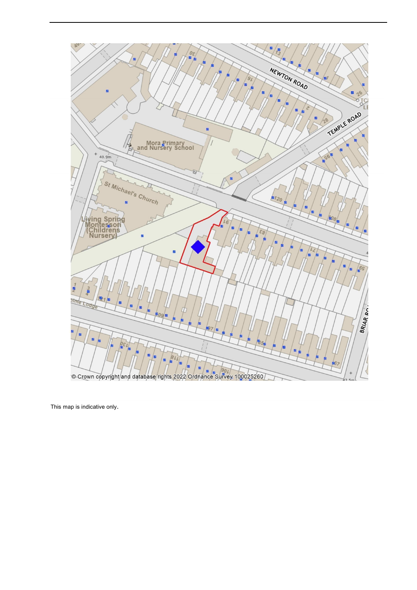

This map is indicative only.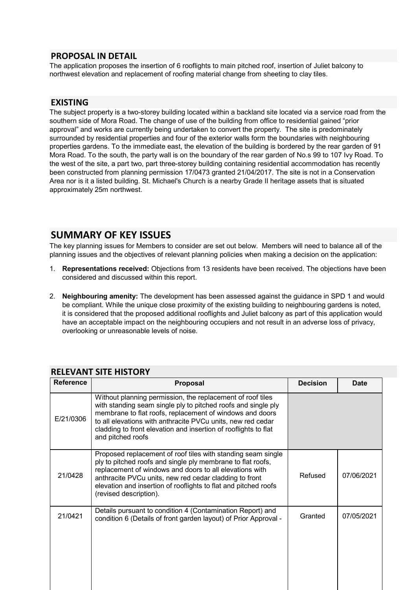### **PROPOSAL IN DETAIL**

The application proposes the insertion of 6 rooflights to main pitched roof, insertion of Juliet balcony to northwest elevation and replacement of roofing material change from sheeting to clay tiles.

### **EXISTING**

The subject property is a two-storey building located within a backland site located via a service road from the southern side of Mora Road. The change of use of the building from office to residential gained "prior approval" and works are currently being undertaken to convert the property. The site is predominately surrounded by residential properties and four of the exterior walls form the boundaries with neighbouring properties gardens. To the immediate east, the elevation of the building is bordered by the rear garden of 91 Mora Road. To the south, the party wall is on the boundary of the rear garden of No.s 99 to 107 Ivy Road. To the west of the site, a part two, part three-storey building containing residential accommodation has recently been constructed from planning permission 17/0473 granted 21/04/2017. The site is not in a Conservation Area nor is it a listed building. St. Michael's Church is a nearby Grade II heritage assets that is situated approximately 25m northwest.

## **SUMMARY OF KEY ISSUES**

The key planning issues for Members to consider are set out below. Members will need to balance all of the planning issues and the objectives of relevant planning policies when making a decision on the application:

- 1. **Representations received:** Objections from 13 residents have been received. The objections have been considered and discussed within this report.
- 2. **Neighbouring amenity:** The development has been assessed against the guidance in SPD 1 and would be compliant. While the unique close proximity of the existing building to neighbouring gardens is noted, it is considered that the proposed additional rooflights and Juliet balcony as part of this application would have an acceptable impact on the neighbouring occupiers and not result in an adverse loss of privacy, overlooking or unreasonable levels of noise.

| <b>Reference</b> | <b>Proposal</b>                                                                                                                                                                                                                                                                                                                                | <b>Decision</b> | <b>Date</b> |
|------------------|------------------------------------------------------------------------------------------------------------------------------------------------------------------------------------------------------------------------------------------------------------------------------------------------------------------------------------------------|-----------------|-------------|
| E/21/0306        | Without planning permission, the replacement of roof tiles<br>with standing seam single ply to pitched roofs and single ply<br>membrane to flat roofs, replacement of windows and doors<br>to all elevations with anthracite PVCu units, new red cedar<br>cladding to front elevation and insertion of rooflights to flat<br>and pitched roofs |                 |             |
| 21/0428          | Proposed replacement of roof tiles with standing seam single<br>ply to pitched roofs and single ply membrane to flat roofs,<br>replacement of windows and doors to all elevations with<br>anthracite PVCu units, new red cedar cladding to front<br>elevation and insertion of rooflights to flat and pitched roofs<br>(revised description).  | Refused         | 07/06/2021  |
| 21/0421          | Details pursuant to condition 4 (Contamination Report) and<br>condition 6 (Details of front garden layout) of Prior Approval -                                                                                                                                                                                                                 | Granted         | 07/05/2021  |
|                  |                                                                                                                                                                                                                                                                                                                                                |                 |             |

### **RELEVANT SITE HISTORY**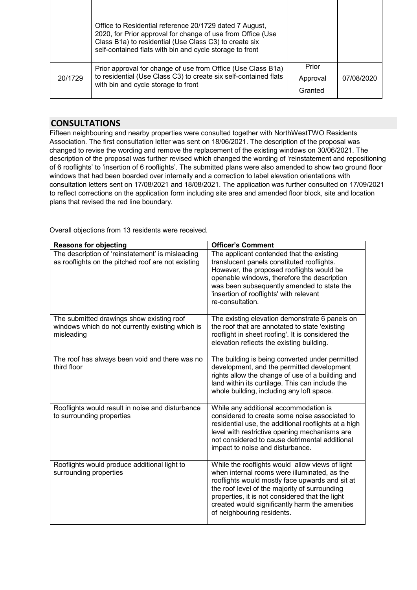| Prior<br>Prior approval for change of use from Office (Use Class B1a)<br>to residential (Use Class C3) to create six self-contained flats<br>20/1729<br>07/08/2020<br>Approval<br>with bin and cycle storage to front | Office to Residential reference 20/1729 dated 7 August,<br>2020, for Prior approval for change of use from Office (Use<br>Class B1a) to residential (Use Class C3) to create six<br>self-contained flats with bin and cycle storage to front |         |  |
|-----------------------------------------------------------------------------------------------------------------------------------------------------------------------------------------------------------------------|----------------------------------------------------------------------------------------------------------------------------------------------------------------------------------------------------------------------------------------------|---------|--|
|                                                                                                                                                                                                                       |                                                                                                                                                                                                                                              | Granted |  |

### **CONSULTATIONS**

Fifteen neighbouring and nearby properties were consulted together with NorthWestTWO Residents Association. The first consultation letter was sent on 18/06/2021. The description of the proposal was changed to revise the wording and remove the replacement of the existing windows on 30/06/2021. The description of the proposal was further revised which changed the wording of 'reinstatement and repositioning of 6 rooflights' to 'insertion of 6 rooflights'. The submitted plans were also amended to show two ground floor windows that had been boarded over internally and a correction to label elevation orientations with consultation letters sent on 17/08/2021 and 18/08/2021. The application was further consulted on 17/09/2021 to reflect corrections on the application form including site area and amended floor block, site and location plans that revised the red line boundary.

Overall objections from 13 residents were received.

| <b>Reasons for objecting</b>                                                                                | <b>Officer's Comment</b>                                                                                                                                                                                                                                                                                                               |
|-------------------------------------------------------------------------------------------------------------|----------------------------------------------------------------------------------------------------------------------------------------------------------------------------------------------------------------------------------------------------------------------------------------------------------------------------------------|
| The description of 'reinstatement' is misleading<br>as rooflights on the pitched roof are not existing      | The applicant contended that the existing<br>translucent panels constituted rooflights.<br>However, the proposed rooflights would be<br>openable windows, therefore the description<br>was been subsequently amended to state the<br>'insertion of rooflights' with relevant<br>re-consultation.                                       |
| The submitted drawings show existing roof<br>windows which do not currently existing which is<br>misleading | The existing elevation demonstrate 6 panels on<br>the roof that are annotated to state 'existing<br>rooflight in sheet roofing'. It is considered the<br>elevation reflects the existing building.                                                                                                                                     |
| The roof has always been void and there was no<br>third floor                                               | The building is being converted under permitted<br>development, and the permitted development<br>rights allow the change of use of a building and<br>land within its curtilage. This can include the<br>whole building, including any loft space.                                                                                      |
| Rooflights would result in noise and disturbance<br>to surrounding properties                               | While any additional accommodation is<br>considered to create some noise associated to<br>residential use, the additional rooflights at a high<br>level with restrictive opening mechanisms are<br>not considered to cause detrimental additional<br>impact to noise and disturbance.                                                  |
| Rooflights would produce additional light to<br>surrounding properties                                      | While the rooflights would allow views of light<br>when internal rooms were illuminated, as the<br>rooflights would mostly face upwards and sit at<br>the roof level of the majority of surrounding<br>properties, it is not considered that the light<br>created would significantly harm the amenities<br>of neighbouring residents. |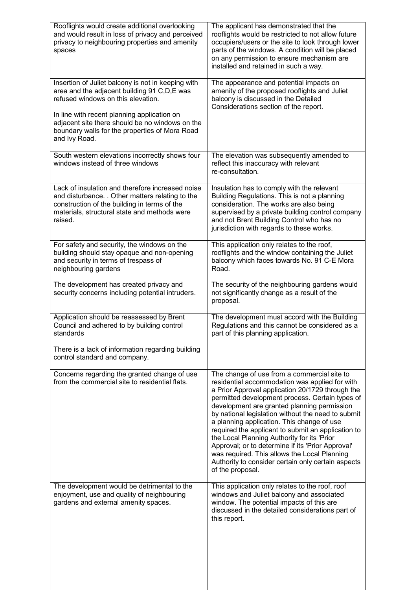| Rooflights would create additional overlooking<br>and would result in loss of privacy and perceived                                                                                                             | The applicant has demonstrated that the<br>rooflights would be restricted to not allow future                                                                                                                                                                                                                                                                                                                                                                                                                                                                                                                                               |
|-----------------------------------------------------------------------------------------------------------------------------------------------------------------------------------------------------------------|---------------------------------------------------------------------------------------------------------------------------------------------------------------------------------------------------------------------------------------------------------------------------------------------------------------------------------------------------------------------------------------------------------------------------------------------------------------------------------------------------------------------------------------------------------------------------------------------------------------------------------------------|
| privacy to neighbouring properties and amenity<br>spaces                                                                                                                                                        | occupiers/users or the site to look through lower<br>parts of the windows. A condition will be placed<br>on any permission to ensure mechanism are<br>installed and retained in such a way.                                                                                                                                                                                                                                                                                                                                                                                                                                                 |
| Insertion of Juliet balcony is not in keeping with<br>area and the adjacent building 91 C,D,E was<br>refused windows on this elevation.                                                                         | The appearance and potential impacts on<br>amenity of the proposed rooflights and Juliet<br>balcony is discussed in the Detailed<br>Considerations section of the report.                                                                                                                                                                                                                                                                                                                                                                                                                                                                   |
| In line with recent planning application on<br>adjacent site there should be no windows on the<br>boundary walls for the properties of Mora Road<br>and Ivy Road.                                               |                                                                                                                                                                                                                                                                                                                                                                                                                                                                                                                                                                                                                                             |
| South western elevations incorrectly shows four<br>windows instead of three windows                                                                                                                             | The elevation was subsequently amended to<br>reflect this inaccuracy with relevant                                                                                                                                                                                                                                                                                                                                                                                                                                                                                                                                                          |
|                                                                                                                                                                                                                 | re-consultation.                                                                                                                                                                                                                                                                                                                                                                                                                                                                                                                                                                                                                            |
| Lack of insulation and therefore increased noise<br>and disturbance. . Other matters relating to the<br>construction of the building in terms of the<br>materials, structural state and methods were<br>raised. | Insulation has to comply with the relevant<br>Building Regulations. This is not a planning<br>consideration. The works are also being<br>supervised by a private building control company<br>and not Brent Building Control who has no<br>jurisdiction with regards to these works.                                                                                                                                                                                                                                                                                                                                                         |
| For safety and security, the windows on the<br>building should stay opaque and non-opening<br>and security in terms of trespass of<br>neighbouring gardens                                                      | This application only relates to the roof,<br>rooflights and the window containing the Juliet<br>balcony which faces towards No. 91 C-E Mora<br>Road.                                                                                                                                                                                                                                                                                                                                                                                                                                                                                       |
| The development has created privacy and<br>security concerns including potential intruders.                                                                                                                     | The security of the neighbouring gardens would<br>not significantly change as a result of the<br>proposal.                                                                                                                                                                                                                                                                                                                                                                                                                                                                                                                                  |
| Application should be reassessed by Brent<br>Council and adhered to by building control<br>standards                                                                                                            | The development must accord with the Building<br>Regulations and this cannot be considered as a<br>part of this planning application.                                                                                                                                                                                                                                                                                                                                                                                                                                                                                                       |
| There is a lack of information regarding building<br>control standard and company.                                                                                                                              |                                                                                                                                                                                                                                                                                                                                                                                                                                                                                                                                                                                                                                             |
| Concerns regarding the granted change of use<br>from the commercial site to residential flats.                                                                                                                  | The change of use from a commercial site to<br>residential accommodation was applied for with<br>a Prior Approval application 20/1729 through the<br>permitted development process. Certain types of<br>development are granted planning permission<br>by national legislation without the need to submit<br>a planning application. This change of use<br>required the applicant to submit an application to<br>the Local Planning Authority for its 'Prior<br>Approval; or to determine if its 'Prior Approval'<br>was required. This allows the Local Planning<br>Authority to consider certain only certain aspects<br>of the proposal. |
| The development would be detrimental to the<br>enjoyment, use and quality of neighbouring<br>gardens and external amenity spaces.                                                                               | This application only relates to the roof, roof<br>windows and Juliet balcony and associated<br>window. The potential impacts of this are<br>discussed in the detailed considerations part of<br>this report.                                                                                                                                                                                                                                                                                                                                                                                                                               |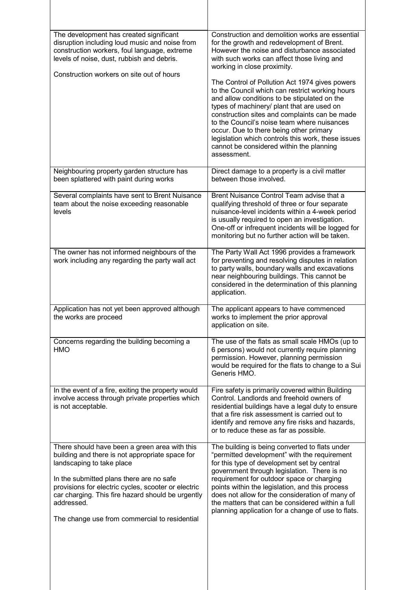| The development has created significant<br>disruption including loud music and noise from<br>construction workers, foul language, extreme<br>levels of noise, dust, rubbish and debris.<br>Construction workers on site out of hours                                                                                                                 | Construction and demolition works are essential<br>for the growth and redevelopment of Brent.<br>However the noise and disturbance associated<br>with such works can affect those living and<br>working in close proximity.<br>The Control of Pollution Act 1974 gives powers<br>to the Council which can restrict working hours<br>and allow conditions to be stipulated on the<br>types of machinery/ plant that are used on<br>construction sites and complaints can be made<br>to the Council's noise team where nuisances<br>occur. Due to there being other primary<br>legislation which controls this work, these issues<br>cannot be considered within the planning |
|------------------------------------------------------------------------------------------------------------------------------------------------------------------------------------------------------------------------------------------------------------------------------------------------------------------------------------------------------|-----------------------------------------------------------------------------------------------------------------------------------------------------------------------------------------------------------------------------------------------------------------------------------------------------------------------------------------------------------------------------------------------------------------------------------------------------------------------------------------------------------------------------------------------------------------------------------------------------------------------------------------------------------------------------|
|                                                                                                                                                                                                                                                                                                                                                      | assessment.                                                                                                                                                                                                                                                                                                                                                                                                                                                                                                                                                                                                                                                                 |
| Neighbouring property garden structure has<br>been splattered with paint during works                                                                                                                                                                                                                                                                | Direct damage to a property is a civil matter<br>between those involved.                                                                                                                                                                                                                                                                                                                                                                                                                                                                                                                                                                                                    |
| Several complaints have sent to Brent Nuisance<br>team about the noise exceeding reasonable<br>levels                                                                                                                                                                                                                                                | Brent Nuisance Control Team advise that a<br>qualifying threshold of three or four separate<br>nuisance-level incidents within a 4-week period<br>is usually required to open an investigation.<br>One-off or infrequent incidents will be logged for<br>monitoring but no further action will be taken.                                                                                                                                                                                                                                                                                                                                                                    |
| The owner has not informed neighbours of the<br>work including any regarding the party wall act                                                                                                                                                                                                                                                      | The Party Wall Act 1996 provides a framework<br>for preventing and resolving disputes in relation<br>to party walls, boundary walls and excavations<br>near neighbouring buildings. This cannot be<br>considered in the determination of this planning<br>application.                                                                                                                                                                                                                                                                                                                                                                                                      |
| Application has not yet been approved although<br>the works are proceed                                                                                                                                                                                                                                                                              | The applicant appears to have commenced<br>works to implement the prior approval<br>application on site.                                                                                                                                                                                                                                                                                                                                                                                                                                                                                                                                                                    |
| Concerns regarding the building becoming a<br><b>HMO</b>                                                                                                                                                                                                                                                                                             | The use of the flats as small scale HMOs (up to<br>6 persons) would not currently require planning<br>permission. However, planning permission<br>would be required for the flats to change to a Sui<br>Generis HMO.                                                                                                                                                                                                                                                                                                                                                                                                                                                        |
| In the event of a fire, exiting the property would<br>involve access through private properties which<br>is not acceptable.                                                                                                                                                                                                                          | Fire safety is primarily covered within Building<br>Control. Landlords and freehold owners of<br>residential buildings have a legal duty to ensure<br>that a fire risk assessment is carried out to<br>identify and remove any fire risks and hazards,<br>or to reduce these as far as possible.                                                                                                                                                                                                                                                                                                                                                                            |
| There should have been a green area with this<br>building and there is not appropriate space for<br>landscaping to take place<br>In the submitted plans there are no safe<br>provisions for electric cycles, scooter or electric<br>car charging. This fire hazard should be urgently<br>addressed.<br>The change use from commercial to residential | The building is being converted to flats under<br>"permitted development" with the requirement<br>for this type of development set by central<br>government through legislation. There is no<br>requirement for outdoor space or charging<br>points within the legislation, and this process<br>does not allow for the consideration of many of<br>the matters that can be considered within a full<br>planning application for a change of use to flats.                                                                                                                                                                                                                   |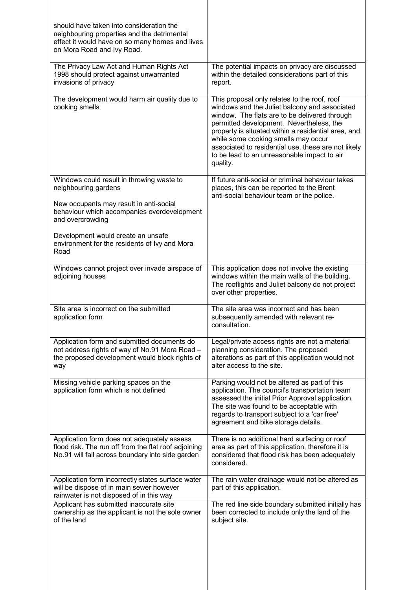| should have taken into consideration the<br>neighbouring properties and the detrimental<br>effect it would have on so many homes and lives<br>on Mora Road and Ivy Road.                                                                                                       |                                                                                                                                                                                                                                                                                                                                                                                                            |
|--------------------------------------------------------------------------------------------------------------------------------------------------------------------------------------------------------------------------------------------------------------------------------|------------------------------------------------------------------------------------------------------------------------------------------------------------------------------------------------------------------------------------------------------------------------------------------------------------------------------------------------------------------------------------------------------------|
| The Privacy Law Act and Human Rights Act<br>1998 should protect against unwarranted<br>invasions of privacy                                                                                                                                                                    | The potential impacts on privacy are discussed<br>within the detailed considerations part of this<br>report.                                                                                                                                                                                                                                                                                               |
| The development would harm air quality due to<br>cooking smells                                                                                                                                                                                                                | This proposal only relates to the roof, roof<br>windows and the Juliet balcony and associated<br>window. The flats are to be delivered through<br>permitted development. Nevertheless, the<br>property is situated within a residential area, and<br>while some cooking smells may occur<br>associated to residential use, these are not likely<br>to be lead to an unreasonable impact to air<br>quality. |
| Windows could result in throwing waste to<br>neighbouring gardens<br>New occupants may result in anti-social<br>behaviour which accompanies overdevelopment<br>and overcrowding<br>Development would create an unsafe<br>environment for the residents of Ivy and Mora<br>Road | If future anti-social or criminal behaviour takes<br>places, this can be reported to the Brent<br>anti-social behaviour team or the police.                                                                                                                                                                                                                                                                |
| Windows cannot project over invade airspace of<br>adjoining houses                                                                                                                                                                                                             | This application does not involve the existing<br>windows within the main walls of the building.<br>The rooflights and Juliet balcony do not project<br>over other properties.                                                                                                                                                                                                                             |
| Site area is incorrect on the submitted<br>application form                                                                                                                                                                                                                    | The site area was incorrect and has been<br>subsequently amended with relevant re-<br>consultation.                                                                                                                                                                                                                                                                                                        |
| Application form and submitted documents do<br>not address rights of way of No.91 Mora Road -<br>the proposed development would block rights of<br>way                                                                                                                         | Legal/private access rights are not a material<br>planning consideration. The proposed<br>alterations as part of this application would not<br>alter access to the site.                                                                                                                                                                                                                                   |
| Missing vehicle parking spaces on the<br>application form which is not defined                                                                                                                                                                                                 | Parking would not be altered as part of this<br>application. The council's transportation team<br>assessed the initial Prior Approval application.<br>The site was found to be acceptable with<br>regards to transport subject to a 'car free'<br>agreement and bike storage details.                                                                                                                      |
| Application form does not adequately assess<br>flood risk. The run off from the flat roof adjoining<br>No.91 will fall across boundary into side garden                                                                                                                        | There is no additional hard surfacing or roof<br>area as part of this application, therefore it is<br>considered that flood risk has been adequately<br>considered.                                                                                                                                                                                                                                        |
| Application form incorrectly states surface water<br>will be dispose of in main sewer however<br>rainwater is not disposed of in this way                                                                                                                                      | The rain water drainage would not be altered as<br>part of this application.                                                                                                                                                                                                                                                                                                                               |
| Applicant has submitted inaccurate site<br>ownership as the applicant is not the sole owner<br>of the land                                                                                                                                                                     | The red line side boundary submitted initially has<br>been corrected to include only the land of the<br>subject site.                                                                                                                                                                                                                                                                                      |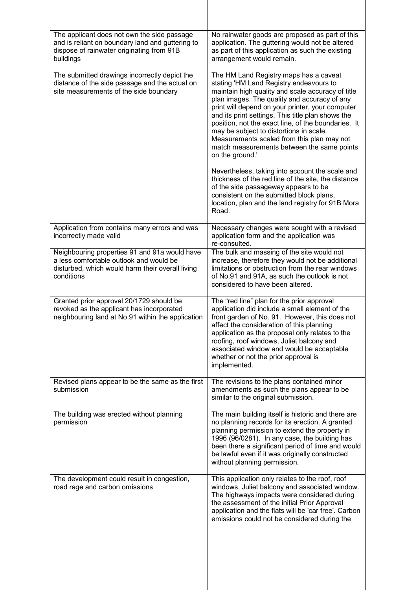| The applicant does not own the side passage<br>and is reliant on boundary land and guttering to<br>dispose of rainwater originating from 91B<br>buildings  | No rainwater goods are proposed as part of this<br>application. The guttering would not be altered<br>as part of this application as such the existing<br>arrangement would remain.                                                                                                                                                                                                                                                                                                                                                                                 |
|------------------------------------------------------------------------------------------------------------------------------------------------------------|---------------------------------------------------------------------------------------------------------------------------------------------------------------------------------------------------------------------------------------------------------------------------------------------------------------------------------------------------------------------------------------------------------------------------------------------------------------------------------------------------------------------------------------------------------------------|
| The submitted drawings incorrectly depict the<br>distance of the side passage and the actual on<br>site measurements of the side boundary                  | The HM Land Registry maps has a caveat<br>stating 'HM Land Registry endeavours to<br>maintain high quality and scale accuracy of title<br>plan images. The quality and accuracy of any<br>print will depend on your printer, your computer<br>and its print settings. This title plan shows the<br>position, not the exact line, of the boundaries. It<br>may be subject to distortions in scale.<br>Measurements scaled from this plan may not<br>match measurements between the same points<br>on the ground.'<br>Nevertheless, taking into account the scale and |
|                                                                                                                                                            | thickness of the red line of the site, the distance<br>of the side passageway appears to be<br>consistent on the submitted block plans,<br>location, plan and the land registry for 91B Mora<br>Road.                                                                                                                                                                                                                                                                                                                                                               |
| Application from contains many errors and was<br>incorrectly made valid                                                                                    | Necessary changes were sought with a revised<br>application form and the application was<br>re-consulted.                                                                                                                                                                                                                                                                                                                                                                                                                                                           |
| Neighbouring properties 91 and 91a would have<br>a less comfortable outlook and would be<br>disturbed, which would harm their overall living<br>conditions | The bulk and massing of the site would not<br>increase, therefore they would not be additional<br>limitations or obstruction from the rear windows<br>of No.91 and 91A, as such the outlook is not<br>considered to have been altered.                                                                                                                                                                                                                                                                                                                              |
| Granted prior approval 20/1729 should be<br>revoked as the applicant has incorporated<br>neighbouring land at No.91 within the application                 | The "red line" plan for the prior approval<br>application did include a small element of the<br>front garden of No. 91. However, this does not<br>affect the consideration of this planning<br>application as the proposal only relates to the<br>roofing, roof windows, Juliet balcony and<br>associated window and would be acceptable<br>whether or not the prior approval is<br>implemented.                                                                                                                                                                    |
| Revised plans appear to be the same as the first<br>submission                                                                                             | The revisions to the plans contained minor<br>amendments as such the plans appear to be<br>similar to the original submission.                                                                                                                                                                                                                                                                                                                                                                                                                                      |
| The building was erected without planning<br>permission                                                                                                    | The main building itself is historic and there are<br>no planning records for its erection. A granted<br>planning permission to extend the property in<br>1996 (96/0281). In any case, the building has<br>been there a significant period of time and would<br>be lawful even if it was originally constructed<br>without planning permission.                                                                                                                                                                                                                     |
| The development could result in congestion,<br>road rage and carbon omissions                                                                              | This application only relates to the roof, roof<br>windows, Juliet balcony and associated window.<br>The highways impacts were considered during<br>the assessment of the initial Prior Approval<br>application and the flats will be 'car free'. Carbon<br>emissions could not be considered during the                                                                                                                                                                                                                                                            |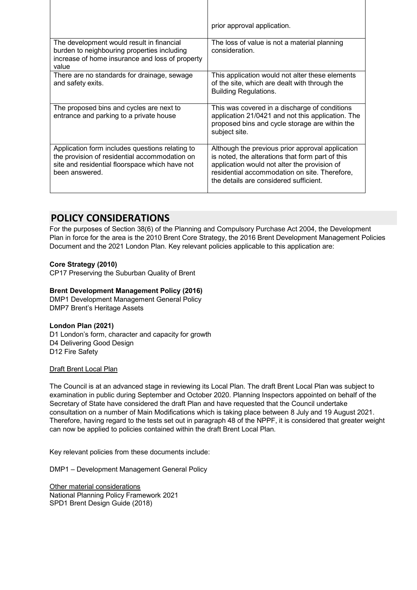|                                                                                                                                                                      | prior approval application.                                                                                                                                                                                                                     |
|----------------------------------------------------------------------------------------------------------------------------------------------------------------------|-------------------------------------------------------------------------------------------------------------------------------------------------------------------------------------------------------------------------------------------------|
| The development would result in financial<br>burden to neighbouring properties including<br>increase of home insurance and loss of property<br>value                 | The loss of value is not a material planning<br>consideration.                                                                                                                                                                                  |
| There are no standards for drainage, sewage<br>and safety exits.                                                                                                     | This application would not alter these elements<br>of the site, which are dealt with through the<br><b>Building Regulations.</b>                                                                                                                |
| The proposed bins and cycles are next to<br>entrance and parking to a private house                                                                                  | This was covered in a discharge of conditions<br>application 21/0421 and not this application. The<br>proposed bins and cycle storage are within the<br>subject site.                                                                           |
| Application form includes questions relating to<br>the provision of residential accommodation on<br>site and residential floorspace which have not<br>been answered. | Although the previous prior approval application<br>is noted, the alterations that form part of this<br>application would not alter the provision of<br>residential accommodation on site. Therefore,<br>the details are considered sufficient. |

# **POLICY CONSIDERATIONS**

For the purposes of Section 38(6) of the Planning and Compulsory Purchase Act 2004, the Development Plan in force for the area is the 2010 Brent Core Strategy, the 2016 Brent Development Management Policies Document and the 2021 London Plan. Key relevant policies applicable to this application are:

#### **Core Strategy (2010)**

CP17 Preserving the Suburban Quality of Brent

#### **Brent Development Management Policy (2016)**

DMP1 Development Management General Policy DMP7 Brent's Heritage Assets

#### **London Plan (2021)**

D1 London's form, character and capacity for growth D4 Delivering Good Design D12 Fire Safety

#### Draft Brent Local Plan

The Council is at an advanced stage in reviewing its Local Plan. The draft Brent Local Plan was subject to examination in public during September and October 2020. Planning Inspectors appointed on behalf of the Secretary of State have considered the draft Plan and have requested that the Council undertake consultation on a number of Main Modifications which is taking place between 8 July and 19 August 2021. Therefore, having regard to the tests set out in paragraph 48 of the NPPF, it is considered that greater weight can now be applied to policies contained within the draft Brent Local Plan.

Key relevant policies from these documents include:

DMP1 – Development Management General Policy

Other material considerations National Planning Policy Framework 2021 SPD1 Brent Design Guide (2018)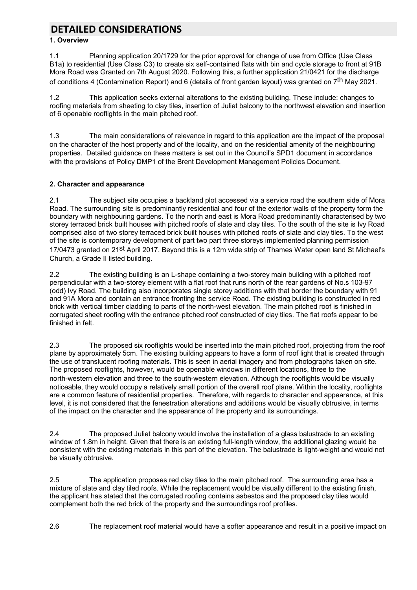# **DETAILED CONSIDERATIONS**

#### **1. Overview**

1.1 Planning application 20/1729 for the prior approval for change of use from Office (Use Class B1a) to residential (Use Class C3) to create six self-contained flats with bin and cycle storage to front at 91B Mora Road was Granted on 7th August 2020. Following this, a further application 21/0421 for the discharge of conditions 4 (Contamination Report) and 6 (details of front garden layout) was granted on 7th May 2021.

1.2 This application seeks external alterations to the existing building. These include: changes to roofing materials from sheeting to clay tiles, insertion of Juliet balcony to the northwest elevation and insertion of 6 openable rooflights in the main pitched roof.

1.3 The main considerations of relevance in regard to this application are the impact of the proposal on the character of the host property and of the locality, and on the residential amenity of the neighbouring properties. Detailed guidance on these matters is set out in the Council's SPD1 document in accordance with the provisions of Policy DMP1 of the Brent Development Management Policies Document.

#### **2. Character and appearance**

2.1 The subject site occupies a backland plot accessed via a service road the southern side of Mora Road. The surrounding site is predominantly residential and four of the exterior walls of the property form the boundary with neighbouring gardens. To the north and east is Mora Road predominantly characterised by two storey terraced brick built houses with pitched roofs of slate and clay tiles. To the south of the site is Ivy Road comprised also of two storey terraced brick built houses with pitched roofs of slate and clay tiles. To the west of the site is contemporary development of part two part three storeys implemented planning permission 17/0473 granted on 21st April 2017. Beyond this is a 12m wide strip of Thames Water open land St Michael's Church, a Grade II listed building.

2.2 The existing building is an L-shape containing a two-storey main building with a pitched roof perpendicular with a two-storey element with a flat roof that runs north of the rear gardens of No.s 103-97 (odd) Ivy Road. The building also incorporates single storey additions with that border the boundary with 91 and 91A Mora and contain an entrance fronting the service Road. The existing building is constructed in red brick with vertical timber cladding to parts of the north-west elevation. The main pitched roof is finished in corrugated sheet roofing with the entrance pitched roof constructed of clay tiles. The flat roofs appear to be finished in felt.

2.3 The proposed six rooflights would be inserted into the main pitched roof, projecting from the roof plane by approximately 5cm. The existing building appears to have a form of roof light that is created through the use of translucent roofing materials. This is seen in aerial imagery and from photographs taken on site. The proposed rooflights, however, would be openable windows in different locations, three to the north-western elevation and three to the south-western elevation. Although the rooflights would be visually noticeable, they would occupy a relatively small portion of the overall roof plane. Within the locality, rooflights are a common feature of residential properties. Therefore, with regards to character and appearance, at this level, it is not considered that the fenestration alterations and additions would be visually obtrusive, in terms of the impact on the character and the appearance of the property and its surroundings.

2.4 The proposed Juliet balcony would involve the installation of a glass balustrade to an existing window of 1.8m in height. Given that there is an existing full-length window, the additional glazing would be consistent with the existing materials in this part of the elevation. The balustrade is light-weight and would not be visually obtrusive.

2.5 The application proposes red clay tiles to the main pitched roof. The surrounding area has a mixture of slate and clay tiled roofs. While the replacement would be visually different to the existing finish, the applicant has stated that the corrugated roofing contains asbestos and the proposed clay tiles would complement both the red brick of the property and the surroundings roof profiles.

2.6 The replacement roof material would have a softer appearance and result in a positive impact on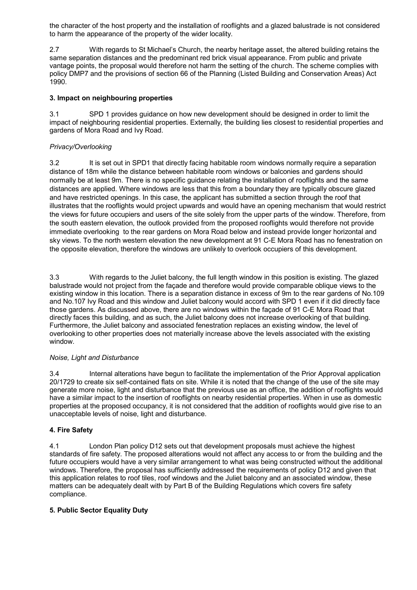the character of the host property and the installation of rooflights and a glazed balustrade is not considered to harm the appearance of the property of the wider locality.

2.7 With regards to St Michael's Church, the nearby heritage asset, the altered building retains the same separation distances and the predominant red brick visual appearance. From public and private vantage points, the proposal would therefore not harm the setting of the church. The scheme complies with policy DMP7 and the provisions of section 66 of the Planning (Listed Building and Conservation Areas) Act 1990.

#### **3. Impact on neighbouring properties**

3.1 SPD 1 provides guidance on how new development should be designed in order to limit the impact of neighbouring residential properties. Externally, the building lies closest to residential properties and gardens of Mora Road and Ivy Road.

#### *Privacy/Overlooking*

3.2 It is set out in SPD1 that directly facing habitable room windows normally require a separation distance of 18m while the distance between habitable room windows or balconies and gardens should normally be at least 9m. There is no specific guidance relating the installation of rooflights and the same distances are applied. Where windows are less that this from a boundary they are typically obscure glazed and have restricted openings. In this case, the applicant has submitted a section through the roof that illustrates that the rooflights would project upwards and would have an opening mechanism that would restrict the views for future occupiers and users of the site solely from the upper parts of the window. Therefore, from the south eastern elevation, the outlook provided from the proposed rooflights would therefore not provide immediate overlooking to the rear gardens on Mora Road below and instead provide longer horizontal and sky views. To the north western elevation the new development at 91 C-E Mora Road has no fenestration on the opposite elevation, therefore the windows are unlikely to overlook occupiers of this development.

3.3 With regards to the Juliet balcony, the full length window in this position is existing. The glazed balustrade would not project from the façade and therefore would provide comparable oblique views to the existing window in this location. There is a separation distance in excess of 9m to the rear gardens of No.109 and No.107 Ivy Road and this window and Juliet balcony would accord with SPD 1 even if it did directly face those gardens. As discussed above, there are no windows within the façade of 91 C-E Mora Road that directly faces this building, and as such, the Juliet balcony does not increase overlooking of that building. Furthermore, the Juliet balcony and associated fenestration replaces an existing window, the level of overlooking to other properties does not materially increase above the levels associated with the existing window.

#### *Noise, Light and Disturbance*

3.4 Internal alterations have begun to facilitate the implementation of the Prior Approval application 20/1729 to create six self-contained flats on site. While it is noted that the change of the use of the site may generate more noise, light and disturbance that the previous use as an office, the addition of rooflights would have a similar impact to the insertion of rooflights on nearby residential properties. When in use as domestic properties at the proposed occupancy, it is not considered that the addition of rooflights would give rise to an unacceptable levels of noise, light and disturbance.

#### **4. Fire Safety**

4.1 London Plan policy D12 sets out that development proposals must achieve the highest standards of fire safety. The proposed alterations would not affect any access to or from the building and the future occupiers would have a very similar arrangement to what was being constructed without the additional windows. Therefore, the proposal has sufficiently addressed the requirements of policy D12 and given that this application relates to roof tiles, roof windows and the Juliet balcony and an associated window, these matters can be adequately dealt with by Part B of the Building Regulations which covers fire safety compliance.

#### **5***.* **Public Sector Equality Duty**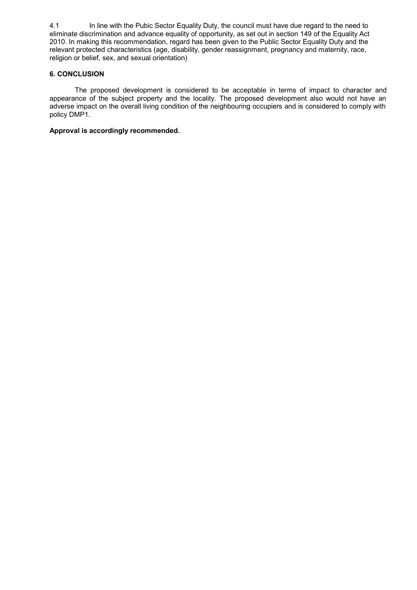4.1 In line with the Pubic Sector Equality Duty, the council must have due regard to the need to eliminate discrimination and advance equality of opportunity, as set out in section 149 of the Equality Act 2010. In making this recommendation, regard has been given to the Public Sector Equality Duty and the relevant protected characteristics (age, disability, gender reassignment, pregnancy and maternity, race, religion or belief, sex, and sexual orientation)

#### **6. CONCLUSION**

The proposed development is considered to be acceptable in terms of impact to character and appearance of the subject property and the locality. The proposed development also would not have an adverse impact on the overall living condition of the neighbouring occupiers and is considered to comply with policy DMP1.

#### **Approval is accordingly recommended.**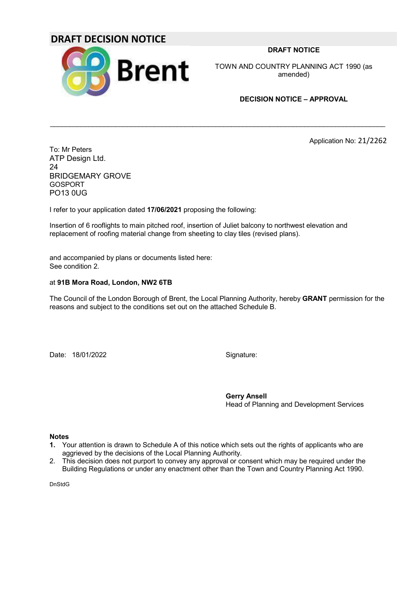## **DRAFT DECISION NOTICE**



**DRAFT NOTICE**

TOWN AND COUNTRY PLANNING ACT 1990 (as amended)

#### **DECISION NOTICE – APPROVAL**

Application No: 21/2262

To: Mr Peters ATP Design Ltd. 24 BRIDGEMARY GROVE GOSPORT PO13 0UG

I refer to your application dated **17/06/2021** proposing the following:

Insertion of 6 rooflights to main pitched roof, insertion of Juliet balcony to northwest elevation and replacement of roofing material change from sheeting to clay tiles (revised plans).

and accompanied by plans or documents listed here: See condition 2.

#### at **91B Mora Road, London, NW2 6TB**

The Council of the London Borough of Brent, the Local Planning Authority, hereby **GRANT** permission for the reasons and subject to the conditions set out on the attached Schedule B.

 $\mathcal{L}_\mathcal{L} = \{ \mathcal{L}_\mathcal{L} = \{ \mathcal{L}_\mathcal{L} = \{ \mathcal{L}_\mathcal{L} = \{ \mathcal{L}_\mathcal{L} = \{ \mathcal{L}_\mathcal{L} = \{ \mathcal{L}_\mathcal{L} = \{ \mathcal{L}_\mathcal{L} = \{ \mathcal{L}_\mathcal{L} = \{ \mathcal{L}_\mathcal{L} = \{ \mathcal{L}_\mathcal{L} = \{ \mathcal{L}_\mathcal{L} = \{ \mathcal{L}_\mathcal{L} = \{ \mathcal{L}_\mathcal{L} = \{ \mathcal{L}_\mathcal{$ 

Date: 18/01/2022 Signature:

**Gerry Ansell** Head of Planning and Development Services

#### **Notes**

- **1.** Your attention is drawn to Schedule A of this notice which sets out the rights of applicants who are aggrieved by the decisions of the Local Planning Authority.
- 2. This decision does not purport to convey any approval or consent which may be required under the Building Regulations or under any enactment other than the Town and Country Planning Act 1990.

**DnStdG**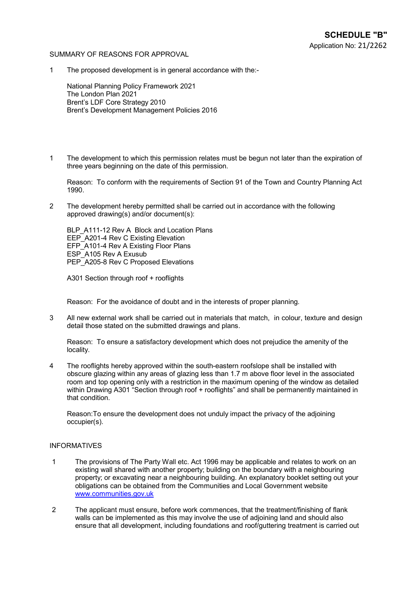#### SUMMARY OF REASONS FOR APPROVAL

1 The proposed development is in general accordance with the:-

National Planning Policy Framework 2021 The London Plan 2021 Brent's LDF Core Strategy 2010 Brent's Development Management Policies 2016

1 The development to which this permission relates must be begun not later than the expiration of three years beginning on the date of this permission.

Reason: To conform with the requirements of Section 91 of the Town and Country Planning Act 1990.

2 The development hereby permitted shall be carried out in accordance with the following approved drawing(s) and/or document(s):

BLP A111-12 Rev A Block and Location Plans EEP A201-4 Rev C Existing Elevation EFP\_A101-4 Rev A Existing Floor Plans ESP\_A105 Rev A Exusub PEP\_A205-8 Rev C Proposed Elevations

A301 Section through roof + rooflights

Reason: For the avoidance of doubt and in the interests of proper planning.

3 All new external work shall be carried out in materials that match, in colour, texture and design detail those stated on the submitted drawings and plans.

Reason: To ensure a satisfactory development which does not prejudice the amenity of the locality.

4 The rooflights hereby approved within the south-eastern roofslope shall be installed with obscure glazing within any areas of glazing less than 1.7 m above floor level in the associated room and top opening only with a restriction in the maximum opening of the window as detailed within Drawing A301 "Section through roof + rooflights" and shall be permanently maintained in that condition.

Reason:To ensure the development does not unduly impact the privacy of the adjoining occupier(s).

#### INFORMATIVES

- 1 The provisions of The Party Wall etc. Act 1996 may be applicable and relates to work on an existing wall shared with another property; building on the boundary with a neighbouring property; or excavating near a neighbouring building. An explanatory booklet setting out your obligations can be obtained from the Communities and Local Government website www.communities.gov.uk
- 2 The applicant must ensure, before work commences, that the treatment/finishing of flank walls can be implemented as this may involve the use of adjoining land and should also ensure that all development, including foundations and roof/guttering treatment is carried out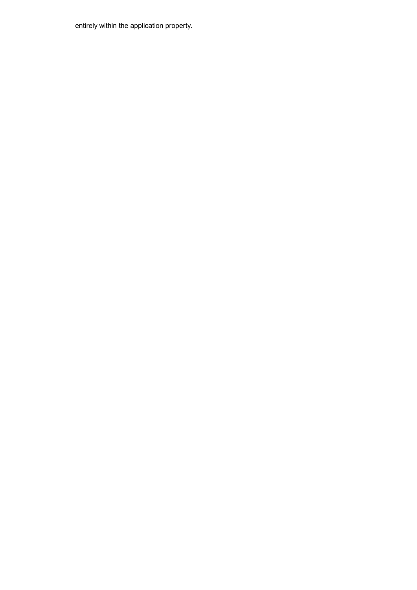entirely within the application property.